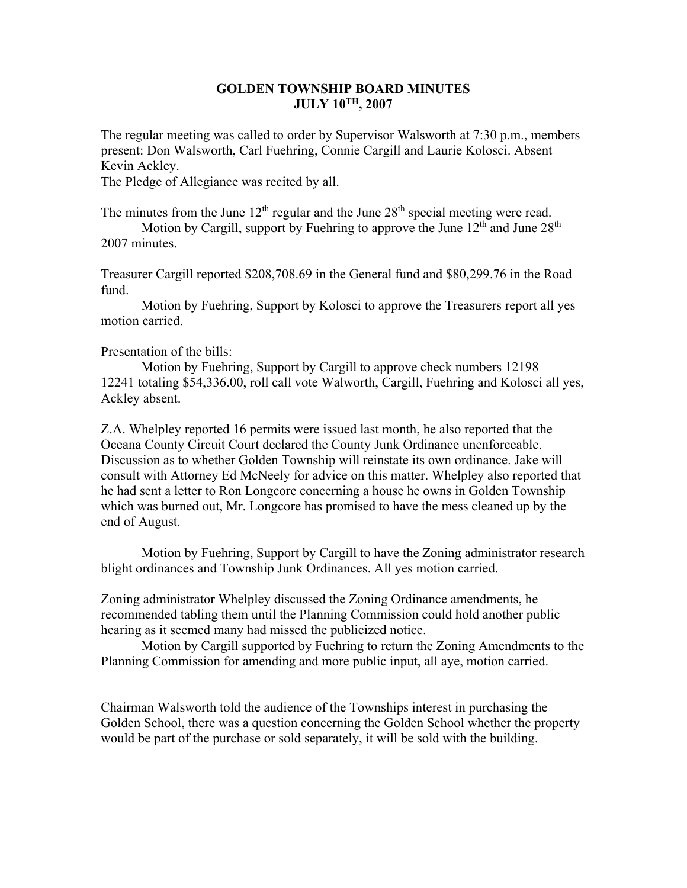## **GOLDEN TOWNSHIP BOARD MINUTES JULY 10TH, 2007**

The regular meeting was called to order by Supervisor Walsworth at 7:30 p.m., members present: Don Walsworth, Carl Fuehring, Connie Cargill and Laurie Kolosci. Absent Kevin Ackley.

The Pledge of Allegiance was recited by all.

The minutes from the June  $12<sup>th</sup>$  regular and the June  $28<sup>th</sup>$  special meeting were read.

Motion by Cargill, support by Fuehring to approve the June  $12<sup>th</sup>$  and June  $28<sup>th</sup>$ 2007 minutes.

Treasurer Cargill reported \$208,708.69 in the General fund and \$80,299.76 in the Road fund.

 Motion by Fuehring, Support by Kolosci to approve the Treasurers report all yes motion carried.

## Presentation of the bills:

 Motion by Fuehring, Support by Cargill to approve check numbers 12198 – 12241 totaling \$54,336.00, roll call vote Walworth, Cargill, Fuehring and Kolosci all yes, Ackley absent.

Z.A. Whelpley reported 16 permits were issued last month, he also reported that the Oceana County Circuit Court declared the County Junk Ordinance unenforceable. Discussion as to whether Golden Township will reinstate its own ordinance. Jake will consult with Attorney Ed McNeely for advice on this matter. Whelpley also reported that he had sent a letter to Ron Longcore concerning a house he owns in Golden Township which was burned out, Mr. Longcore has promised to have the mess cleaned up by the end of August.

 Motion by Fuehring, Support by Cargill to have the Zoning administrator research blight ordinances and Township Junk Ordinances. All yes motion carried.

Zoning administrator Whelpley discussed the Zoning Ordinance amendments, he recommended tabling them until the Planning Commission could hold another public hearing as it seemed many had missed the publicized notice.

 Motion by Cargill supported by Fuehring to return the Zoning Amendments to the Planning Commission for amending and more public input, all aye, motion carried.

Chairman Walsworth told the audience of the Townships interest in purchasing the Golden School, there was a question concerning the Golden School whether the property would be part of the purchase or sold separately, it will be sold with the building.